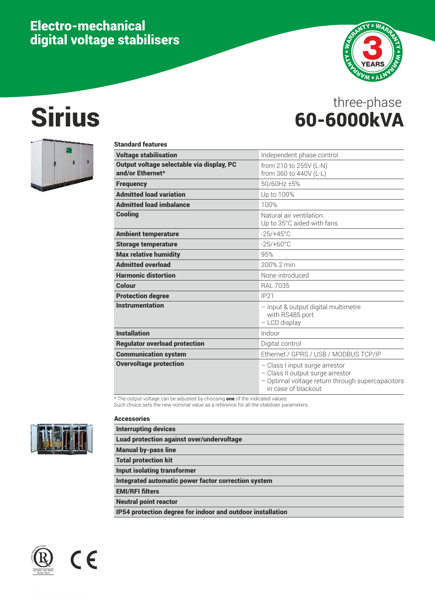# Electro-mechanical digital voltage stabilisers



# Sirius 60-6000kVA three-phase



| <b>Standard features</b>                                      |                                                                                                                                                   |
|---------------------------------------------------------------|---------------------------------------------------------------------------------------------------------------------------------------------------|
| <b>Voltage stabilisation</b>                                  | Independent phase control                                                                                                                         |
| Output voltage selectable via display, PC<br>and/or Ethernet* | from 210 to 255V (L-N)<br>from 360 to 440V (L-L)                                                                                                  |
| <b>Frequency</b>                                              | 50/60Hz ±5%                                                                                                                                       |
| <b>Admitted load variation</b>                                | Up to 100%                                                                                                                                        |
| <b>Admitted load imbalance</b>                                | 100%                                                                                                                                              |
| <b>Cooling</b>                                                | Natural air ventilation<br>Up to 35°C aided with fans                                                                                             |
| <b>Ambient temperature</b>                                    | $-25/+45^{\circ}$ C                                                                                                                               |
| <b>Storage temperature</b>                                    | $-25/+60^{\circ}$ C                                                                                                                               |
| <b>Max relative humidity</b>                                  | 95%                                                                                                                                               |
| <b>Admitted overload</b>                                      | 200% 2 min                                                                                                                                        |
| <b>Harmonic distortion</b>                                    | None introduced                                                                                                                                   |
| <b>Colour</b>                                                 | <b>RAL 7035</b>                                                                                                                                   |
| <b>Protection degree</b>                                      | IP21                                                                                                                                              |
| <b>Instrumentation</b>                                        | - Input & output digital multimetre<br>with RS485 port<br>- LCD display                                                                           |
| <b>Installation</b>                                           | Indoor                                                                                                                                            |
| <b>Regulator overload protection</b>                          | Digital control                                                                                                                                   |
| <b>Communication system</b>                                   | Ethernet / GPRS / USB / MODBUS TCP/IP                                                                                                             |
| <b>Overvoltage protection</b>                                 | - Class I input surge arrestor<br>- Class II output surge arrestor<br>- Optimal voltage return through supercapacitors<br>$-$ in case of blackout |

\* The output voltage can be adjusted by choosing **one** of the indicated values.

Such choice sets the new nominal value as a reference for all the stabiliser parameters.



### Accessories

| <b>Interrupting devices</b>                                |
|------------------------------------------------------------|
| <b>Load protection against over/undervoltage</b>           |
| <b>Manual by-pass line</b>                                 |
| <b>Total protection kit</b>                                |
| <b>Input isolating transformer</b>                         |
| Integrated automatic power factor correction system        |
| <b>EMI/RFI filters</b>                                     |
| <b>Neutral point reactor</b>                               |
| IP54 protection degree for indoor and outdoor installation |



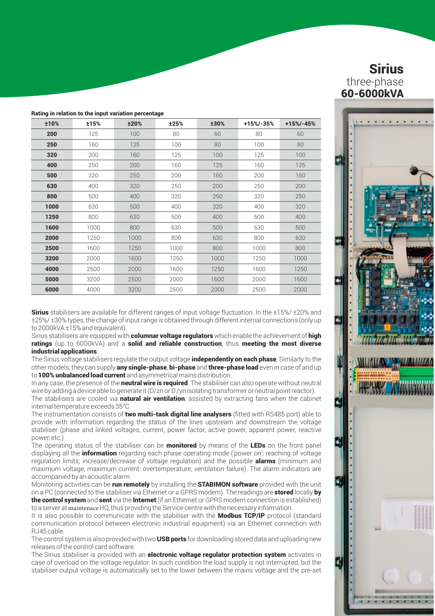|  |  |  |  |  |  |  | Rating in relation to the input variation percentage |  |
|--|--|--|--|--|--|--|------------------------------------------------------|--|
|--|--|--|--|--|--|--|------------------------------------------------------|--|

| ±10% | ±15% | ±20% | ±25% | ±30% | +15%/-35% | $+15% - 45%$ |
|------|------|------|------|------|-----------|--------------|
| 200  | 125  | 100  | 80   | 60   | 80        | 60           |
| 250  | 160  | 125  | 100  | 80   | 100       | 80           |
| 320  | 200  | 160  | 125  | 100  | 125       | 100          |
| 400  | 250  | 200  | 160  | 125  | 160       | 125          |
| 500  | 320  | 250  | 200  | 160  | 200       | 160          |
| 630  | 400  | 320  | 250  | 200  | 250       | 200          |
| 800  | 500  | 400  | 320  | 250  | 320       | 250          |
| 1000 | 630  | 500  | 400  | 320  | 400       | 320          |
| 1250 | 800  | 630  | 500  | 400  | 500       | 400          |
| 1600 | 1000 | 800  | 630  | 500  | 630       | 500          |
| 2000 | 1250 | 1000 | 800  | 630  | 800       | 630          |
| 2500 | 1600 | 1250 | 1000 | 800  | 1000      | 800          |
| 3200 | 2000 | 1600 | 1250 | 1000 | 1250      | 1000         |
| 4000 | 2500 | 2000 | 1600 | 1250 | 1600      | 1250         |
| 5000 | 3200 | 2500 | 2000 | 1600 | 2000      | 1600         |
| 6000 | 4000 | 3200 | 2500 | 2000 | 2500      | 2000         |

**Sirius** stabilisers are available for different ranges of input voltage fluctuation. In the  $\pm 15\%$   $\pm 20\%$  and ±25%/ ±30% types, the change of input range is obtained through different internal connections (only up to 2000kVA ±15% and equivalent).

Sirius stabilisers are equipped with **columnar voltage regulators** which enable the achievement of **high** ratings (up to 6000kVA) and a solid and reliable construction, thus meeting the most diverse industrial applications.

The Sirius voltage stabilisers regulate the output voltage **independently on each phase**. Similarly to the other models, they can supply **any single-phase, bi-phase** and **three-phase load** even in case of and up to 100% unbalanced load current and asymmetrical mains distribution.

In any case, the presence of the **neutral wire is required**. The stabiliser can also operate without neutral wire by adding a device able to generate it (D/zn or D/yn isolating transformer or neutral point reactor).

The stabilisers are cooled via natural air ventilation, assisted by extracting fans when the cabinet internal temperature exceeds 35°C.

The instrumentation consists of two multi-task digital line analysers (fitted with RS485 port) able to provide with information regarding the status of the lines upstream and downstream the voltage stabiliser (phase and linked voltages, current, power factor, active power, apparent power, reactive power, etc.)

The operating status of the stabiliser can be **monitored** by means of the LEDs on the front panel displaying all the **information** regarding each phase operating mode ('power on'; reaching of voltage regulation limits; increase/decrease of voltage regulation) and the possible **alarms** (minimum and maximum voltage, maximum current: overtemperature; ventilation failure). The alarm indicators are accompanied by an acoustic alarm.

Monitoring activities can be run remotely by installing the STABIMON software provided with the unit on a PC (connected to the stabiliser via Ethernet or a GPRS modem). The readings are stored locally by the control system and sent via the Internet (if an Ethernet or GPRS modem connection is established) to a server at maintenace HQ, thus providing the Service centre with the necessary information.

It is also possible to communicate with the stabiliser with the Modbus TCP/IP protocol (standard communication protocol between electronic industrial equipment) via an Ethernet connection with RJ45 cable.

The control system is also provided with two **USB ports** for downloading stored data and uploading new releases of the control card software.

The Sirius stabiliser is provided with an **electronic voltage regulator protection system** activates in case of overload on the voltage regulator. In such condition the load supply is not interrupted, but the stabiliser output voltage is automatically set to the lower between the mains voltage and the pre-set

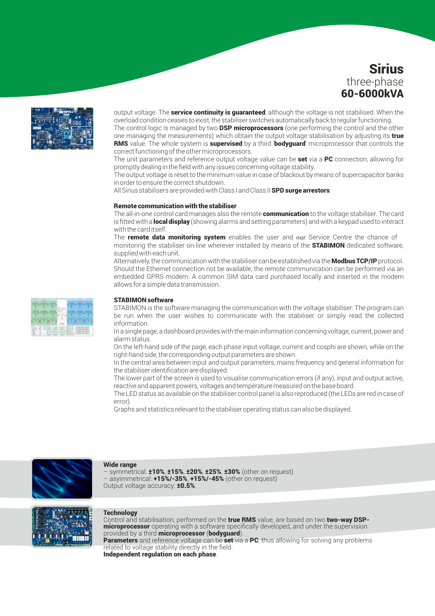

output voltage. The **service continuity is guaranteed**, although the voltage is not stabilised. When the overload condition ceases to exist, the stabiliser switches automatically back to regular functioning. The control logic is managed by two **DSP microprocessors** (one performing the control and the other one managing the measurements) which obtain the output voltage stabilisation by adjusting its true **RMS** value. The whole system is **supervised** by a third 'bodyguard' microprocessor that controls the

correct functioning of the other microprocessors. The unit parameters and reference output voltage value can be set via a PC connection, allowing for promptly dealing in the field with any issues concerning voltage stability.

The output voltage is reset to the minimum value in case of blackout by means of supercapacitor banks in order to ensure the correct shutdown.

All Sirius stabilisers are provided with Class I and Class II SPD surge arrestors.

#### Remote communication with the stabiliser

The all-in-one control card manages also the remote **communication** to the voltage stabiliser. The card is fitted with a **local display** (showing alarms and setting parameters) and with a keypad used to interact with the card itself.

The remote data monitoring system enables the user and our Service Centre the chance of monitoring the stabiliser on-line wherever installed by means of the **STABIMON** dedicated software. supplied with each unit.

Alternatively, the communication with the stabiliser can be established via the **Modbus TCP/IP** protocol. Should the Ethernet connection not be available, the remote communication can be performed via an embedded GPRS modem. A common SIM data card purchased locally and inserted in the modem allows for a simple data transmission.

#### STABIMON software

STABIMON is the software managing the communication with the voltage stabiliser. The program can be run when the user wishes to communicate with the stabiliser or simply read the collected information.

In a single page, a dashboard provides with the main information concerning voltage, current, power and alarm status.

On the left-hand side of the page, each phase input voltage, current and cosphi are shown, while on the right-hand side, the corresponding output parameters are shown.

In the central area between input and output parameters, mains frequency and general information for the stabiliser identification are displayed.

The lower part of the screen is used to visualise communication errors (if any), input and output active, reactive and apparent powers, voltages and temperature measured on the base board.

The LED status as available on the stabiliser control panel is also reproduced (the LEDs are red in case of error).

Graphs and statistics relevant to the stabiliser operating status can also be displayed.



#### Wide range

symmetrical: ±10%, ±15%, ±20%, ±25%, ±30% (other on request) asyimmetrical: +15%/-35%, +15%/-45% (other on request) Output voltage accuracy: ±0.5%.



#### Technology

Control and stabilisation, performed on the true RMS value, are based on two two-way DSPmicroprocessor operating with a software specifically developed, and under the supervision provided by a third microprocessor (bodyguard).

**Parameters** and reference voltage can be set via a PC, thus allowing for solving any problems related to voltage stability directly in the field. Independent regulation on each phase.

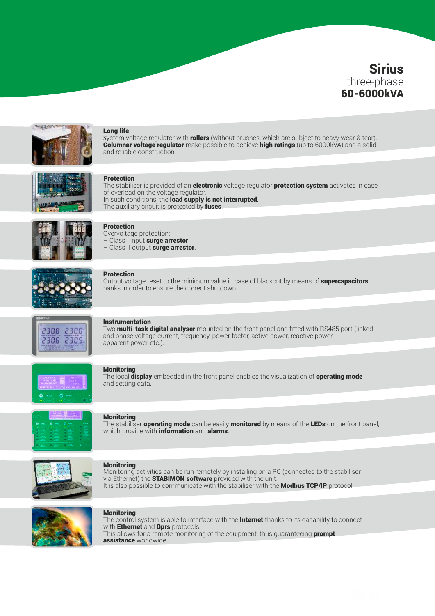

### Long life

System voltage regulator with **rollers** (without brushes, which are subject to heavy wear & tear). Columnar voltage regulator make possible to achieve high ratings (up to 6000kVA) and a solid and reliable construction



### Protection

The stabiliser is provided of an **electronic** voltage regulator **protection system** activates in case of overload on the voltage regulator. In such conditions, the **load supply is not interrupted**. The auxiliary circuit is protected by fuses.



### **Protection**

Overvoltage protection:

– Class I input surge arrestor. – Class II output surge arrestor.



#### Protection

Output voltage reset to the minimum value in case of blackout by means of **supercapacitors** banks in order to ensure the correct shutdown.



#### Instrumentation

Two **multi-task digital analyser** mounted on the front panel and fitted with RS485 port (linked and phase voltage current, frequency, power factor, active power, reactive power, apparent power etc.).



### **Monitoring**

The local display embedded in the front panel enables the visualization of operating mode and setting data.



#### **Monitoring**

The stabiliser **operating mode** can be easily **monitored** by means of the LEDs on the front panel, which provide with **information** and **alarms**.



#### **Monitoring**

Monitoring activities can be run remotely by installing on a PC (connected to the stabiliser via Ethernet) the STABIMON software provided with the unit. It is also possible to communicate with the stabiliser with the **Modbus TCP/IP** protocol.



#### **Monitoring**

The control system is able to interface with the **Internet** thanks to its capability to connect with **Ethernet** and **Gprs** protocols. This allows for a remote monitoring of the equipment, thus quaranteeing **prompt** assistance worldwide.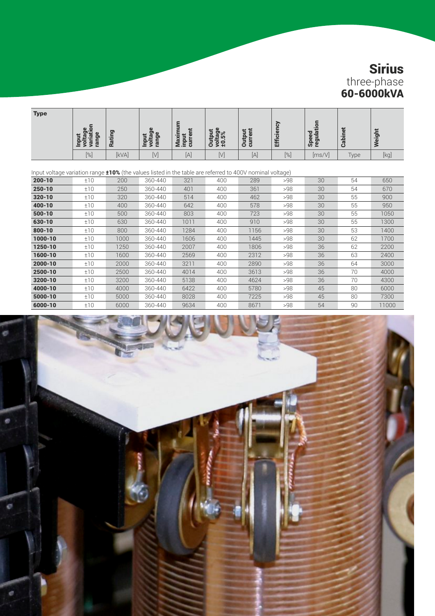| <b>Type</b> | $\omega$<br>Ы<br>ౚ<br>595 | Rating | ω<br>ō<br>ം:<br>Input<br>voltag<br>range | =<br>$\overline{\phantom{a}}$<br>Maxin<br>ត<br>Ē<br>=<br>ō<br>-≥.≐ | <b>Base</b><br>Base<br>ទីទីដុ | ÷<br>Output<br>5<br>छ | cien<br>œ<br>面 | œ<br>ㅎㅎ<br>Φ<br><b>Sper</b><br>ō | る<br>bin<br>ී | eigh                                                                                                                                                                                                                                                                                                                                                                                                                                                                                                                                                                                                                                                                                                        |
|-------------|---------------------------|--------|------------------------------------------|--------------------------------------------------------------------|-------------------------------|-----------------------|----------------|----------------------------------|---------------|-------------------------------------------------------------------------------------------------------------------------------------------------------------------------------------------------------------------------------------------------------------------------------------------------------------------------------------------------------------------------------------------------------------------------------------------------------------------------------------------------------------------------------------------------------------------------------------------------------------------------------------------------------------------------------------------------------------|
|             | $[\%]$                    | [kVA]  | [V]                                      | $[{\mathsf A}]$                                                    | $[\vee]$                      | $[{\mathsf A}]$       | [%]            | [ms/V]                           | Type          | $[kg] % \begin{center} % \includegraphics[width=\linewidth]{imagesSupplemental/Imetad-Architecture.png} % \end{center} % \caption { % \begin{subfigure}{0.35\textwidth} \includegraphics[width=\linewidth]{imagesSupplemental/Imetad-Architecture.png} } % \end{subfigure} % \begin{subfigure}{0.35\textwidth} \includegraphics[width=\linewidth]{imagesSupplemental/Imetad-Architecture.png} } % \end{subfigure} % \caption { % \begin{subfigure}{0.35\textwidth} \includegraphics[width=\linewidth]{imagesSupplemental/Imetad-Architecture.png} } % \end{subfigure} % \caption{ % \begin{subfigure}{0.35\textwidth} \includegraphics[width=\linewidth]{imagesSupplemental/Imetad-Architecture.png} } % \$ |

|  |  |  | Input voltage variation range $\pm 10\%$ (the values listed in the table are referred to 400V nominal voltage) |  |
|--|--|--|----------------------------------------------------------------------------------------------------------------|--|
|--|--|--|----------------------------------------------------------------------------------------------------------------|--|

| $200 - 10$ | ±10 | 200  | 360-440 | 321  | 400 | 289  | >98 | 30 | 54 | 650   |
|------------|-----|------|---------|------|-----|------|-----|----|----|-------|
| $250 - 10$ | ±10 | 250  | 360-440 | 401  | 400 | 361  | >98 | 30 | 54 | 670   |
| $320 - 10$ | ±10 | 320  | 360-440 | 514  | 400 | 462  | >98 | 30 | 55 | 900   |
| $400 - 10$ | ±10 | 400  | 360-440 | 642  | 400 | 578  | >98 | 30 | 55 | 950   |
| $500 - 10$ | ±10 | 500  | 360-440 | 803  | 400 | 723  | >98 | 30 | 55 | 1050  |
| 630-10     | ±10 | 630  | 360-440 | 1011 | 400 | 910  | >98 | 30 | 55 | 1300  |
| $800 - 10$ | ±10 | 800  | 360-440 | 1284 | 400 | 1156 | >98 | 30 | 53 | 1400  |
| 1000-10    | ±10 | 1000 | 360-440 | 1606 | 400 | 1445 | >98 | 30 | 62 | 1700  |
| 1250-10    | ±10 | 1250 | 360-440 | 2007 | 400 | 1806 | >98 | 36 | 62 | 2200  |
| 1600-10    | ±10 | 1600 | 360-440 | 2569 | 400 | 2312 | >98 | 36 | 63 | 2400  |
| 2000-10    | ±10 | 2000 | 360-440 | 3211 | 400 | 2890 | >98 | 36 | 64 | 3000  |
| 2500-10    | ±10 | 2500 | 360-440 | 4014 | 400 | 3613 | >98 | 36 | 70 | 4000  |
| 3200-10    | ±10 | 3200 | 360-440 | 5138 | 400 | 4624 | >98 | 36 | 70 | 4300  |
| 4000-10    | ±10 | 4000 | 360-440 | 6422 | 400 | 5780 | >98 | 45 | 80 | 6000  |
| 5000-10    | ±10 | 5000 | 360-440 | 8028 | 400 | 7225 | >98 | 45 | 80 | 7300  |
| 6000-10    | ±10 | 6000 | 360-440 | 9634 | 400 | 8671 | >98 | 54 | 90 | 11000 |

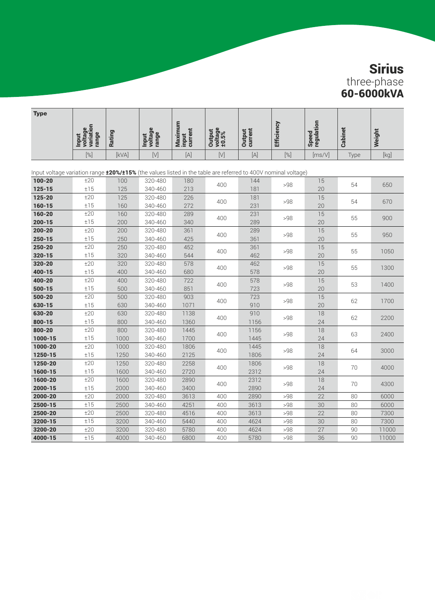| <b>Type</b>                                                                                                              |                                               |            |                                  |                             |                            |                   |                   |                     |                |        |
|--------------------------------------------------------------------------------------------------------------------------|-----------------------------------------------|------------|----------------------------------|-----------------------------|----------------------------|-------------------|-------------------|---------------------|----------------|--------|
|                                                                                                                          | voltage<br>variation<br>range<br><b>Input</b> | Rating     | voltage<br>range<br><b>Input</b> | Maximum<br>input<br>current | voltage<br>±0.5%<br>Output | Output<br>current | <b>Efficiency</b> | Speed<br>regulation | <b>Cabinet</b> | Weight |
|                                                                                                                          | $[\%]$                                        | [kVA]      | $[ \vee ]$                       | $[{\mathsf A}]$             | $[V]$                      | $[{\mathsf A}]$   | $[\%]$            | [ms/V]              | Type           | [kq]   |
| Input voltage variation range $\pm 20\%/ \pm 15\%$ (the values listed in the table are referred to 400V nominal voltage) |                                               |            |                                  |                             |                            |                   |                   |                     |                |        |
| 100-20                                                                                                                   | ±20                                           | 100        | 320-480                          | 180                         |                            | 144               |                   | 15                  |                |        |
| $125 - 15$                                                                                                               | ±15                                           | 125        | 340-460                          | 213                         | 400                        | 181               | >98               | 20                  | 54             | 650    |
| 125-20                                                                                                                   | ±20                                           | 125        | 320-480                          | 226                         | 400                        | 181               | >98               | 15                  |                | 670    |
| $160 - 15$                                                                                                               | ±15                                           | 160        | 340-460                          | 272                         |                            | 231               |                   | 20                  | 54             |        |
| 160-20                                                                                                                   | ±20                                           | 160        | 320-480                          | 289                         | 400                        | 231               | >98               | 15                  | 55             | 900    |
| $200 - 15$                                                                                                               | ±15                                           | 200        | 340-460                          | 340                         |                            | 289               |                   | 20                  |                |        |
| $200 - 20$                                                                                                               | ±20                                           | 200        | 320-480                          | 361                         | 400                        | 289               | >98               | 15                  | 55             | 950    |
| $250 - 15$                                                                                                               | ±15                                           | 250        | 340-460                          | 425                         |                            | 361               |                   | 20                  |                |        |
| 250-20                                                                                                                   | ±20                                           | 250        | 320-480                          | 452                         | 400                        | 361               | >98               | 15                  | 55             | 1050   |
| $320 - 15$                                                                                                               | ±15                                           | 320        | 340-460                          | 544                         |                            | 462               |                   | 20                  |                |        |
| 320-20                                                                                                                   | ±20<br>±15                                    | 320<br>400 | 320-480                          | 578<br>680                  | 400                        | 462               | >98               | 15                  | 55             | 1300   |
| 400-15<br>400-20                                                                                                         | ±20                                           | 400        | 340-460                          | 722                         |                            | 578<br>578        |                   | 20                  |                |        |
| $500 - 15$                                                                                                               | ±15                                           | 500        | 320-480<br>340-460               | 851                         | 400                        | 723               | >98               | 15<br>20            | 53             | 1400   |
| 500-20                                                                                                                   | ±20                                           | 500        | 320-480                          | 903                         |                            | 723               |                   | 15                  |                |        |
| 630-15                                                                                                                   | ±15                                           | 630        | 340-460                          | 1071                        | 400                        | 910               | >98               | 20                  | 62             | 1700   |
| 630-20                                                                                                                   | ±20                                           | 630        | 320-480                          | 1138                        |                            | 910               |                   | 18                  |                |        |
| $800 - 15$                                                                                                               | ±15                                           | 800        | 340-460                          | 1360                        | 400                        | 1156              | >98               | 24                  | 62             | 2200   |
| 800-20                                                                                                                   | ±20                                           | 800        | 320-480                          | 1445                        |                            | 1156              |                   | 18                  |                |        |
| 1000-15                                                                                                                  | ±15                                           | 1000       | 340-460                          | 1700                        | 400                        | 1445              | >98               | 24                  | 63             | 2400   |
| 1000-20                                                                                                                  | ±20                                           | 1000       | 320-480                          | 1806                        |                            | 1445              |                   | 18                  |                |        |
| 1250-15                                                                                                                  | ±15                                           | 1250       | 340-460                          | 2125                        | 400                        | 1806              | >98               | 24                  | 64             | 3000   |
| 1250-20                                                                                                                  | ±20                                           | 1250       | 320-480                          | 2258                        | 400                        | 1806              | >98               | 18                  | 70             | 4000   |
| 1600-15                                                                                                                  | ±15                                           | 1600       | 340-460                          | 2720                        |                            | 2312              |                   | 24                  |                |        |
| 1600-20                                                                                                                  | ±20                                           | 1600       | 320-480                          | 2890                        | 400                        | 2312              | >98               | 18                  | 70             | 4300   |
| 2000-15                                                                                                                  | ±15                                           | 2000       | 340-460                          | 3400                        |                            | 2890              |                   | 24                  |                |        |
| 2000-20                                                                                                                  | ±20                                           | 2000       | 320-480                          | 3613                        | 400                        | 2890              | >98               | 22                  | 80             | 6000   |
| 2500-15                                                                                                                  | ±15                                           | 2500       | 340-460                          | 4251                        | 400                        | 3613              | >98               | 30                  | 80             | 6000   |
| 2500-20                                                                                                                  | ±20                                           | 2500       | 320-480                          | 4516                        | 400                        | 3613              | >98               | 22                  | 80             | 7300   |
| 3200-15                                                                                                                  | ±15                                           | 3200       | 340-460                          | 5440                        | 400                        | 4624              | >98               | 30                  | 80             | 7300   |
| 3200-20                                                                                                                  | ±20                                           | 3200       | 320-480                          | 5780                        | 400                        | 4624              | >98               | 27                  | 90             | 11000  |
| 4000-15                                                                                                                  | ±15                                           | 4000       | 340-460                          | 6800                        | 400                        | 5780              | >98               | 36                  | 90             | 11000  |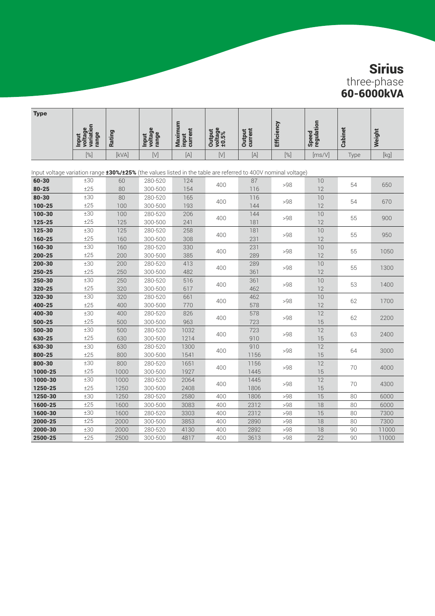| Type                                                                                                          |                                               |            |                                  |                             |                            |                          |                   |                     |         |                                                                                                                                                                                                                                                                                                                                                                                                                                                                                                                                                                                                                                                                                              |
|---------------------------------------------------------------------------------------------------------------|-----------------------------------------------|------------|----------------------------------|-----------------------------|----------------------------|--------------------------|-------------------|---------------------|---------|----------------------------------------------------------------------------------------------------------------------------------------------------------------------------------------------------------------------------------------------------------------------------------------------------------------------------------------------------------------------------------------------------------------------------------------------------------------------------------------------------------------------------------------------------------------------------------------------------------------------------------------------------------------------------------------------|
|                                                                                                               | voltage<br>variation<br>range<br><b>Input</b> | Rating     | voltage<br>range<br><b>Input</b> | Maximum<br>input<br>current | Output<br>voltage<br>±0.5% | <b>Output</b><br>current | <b>Efficiency</b> | Speed<br>regulation | Cabinet | Weight                                                                                                                                                                                                                                                                                                                                                                                                                                                                                                                                                                                                                                                                                       |
|                                                                                                               | [%]                                           | [kVA]      | $[V]$                            | $[{\mathsf A}]$             | $[V]$                      | $[{\mathsf A}]$          | $[%]$             | [ms/V]              | Type    | $[kg] % \begin{center} % \includegraphics[width=\linewidth]{imagesSupplemental/Imetad-Architecture.png} % \end{center} % \caption { % \begin{subfigure}[M5]{0.23\textwidth} \includegraphics[width=\linewidth]{imagesSupplemental/Imetad-Architecture.png} } % \end{subfigure} % \begin{subfigure}[M5]{0.23\textwidth} \includegraphics[width=\linewidth]{imagesSupplemental/Imetad-Architecture.png} } % \end{subfigure} % \caption { % \begin{subfigure}[M5]{0.23\textwidth} \includegraphics[width=\linewidth]{imagesSupplemental/Imetad-Architecture.png} } % \end{subfigure} % \caption{ % \begin{subfigure}[M5]{0.23\textwidth} \includegraphics[width=\linewidth]{imagesSupplemental$ |
| Input voltage variation range 130%/125% (the values listed in the table are referred to 400V nominal voltage) |                                               |            |                                  |                             |                            |                          |                   |                     |         |                                                                                                                                                                                                                                                                                                                                                                                                                                                                                                                                                                                                                                                                                              |
| 60-30                                                                                                         | ±30                                           | 60         | 280-520                          | 124                         |                            | 87                       |                   | 10                  |         |                                                                                                                                                                                                                                                                                                                                                                                                                                                                                                                                                                                                                                                                                              |
| $80 - 25$                                                                                                     | ±25                                           | 80         | 300-500                          | 154                         | 400                        | 116                      | >98               | 12                  | 54      | 650                                                                                                                                                                                                                                                                                                                                                                                                                                                                                                                                                                                                                                                                                          |
| $80 - 30$                                                                                                     | ±30                                           | 80         | 280-520                          | 165                         |                            | 116                      |                   | 10                  |         |                                                                                                                                                                                                                                                                                                                                                                                                                                                                                                                                                                                                                                                                                              |
| 100-25                                                                                                        | ±25                                           | 100        | 300-500                          | 193                         | 400                        | 144                      | >98               | 12                  | 54      | 670                                                                                                                                                                                                                                                                                                                                                                                                                                                                                                                                                                                                                                                                                          |
| 100-30                                                                                                        | ±30                                           | 100        | 280-520                          | 206                         | 400                        | 144                      | >98               | 10                  | 55      | 900                                                                                                                                                                                                                                                                                                                                                                                                                                                                                                                                                                                                                                                                                          |
| 125-25                                                                                                        | ±25                                           | 125        | 300-500                          | 241                         |                            | 181                      |                   | 12                  |         |                                                                                                                                                                                                                                                                                                                                                                                                                                                                                                                                                                                                                                                                                              |
| 125-30                                                                                                        | ±30                                           | 125        | 280-520                          | 258                         | 400                        | 181                      | >98               | 10                  | 55      | 950                                                                                                                                                                                                                                                                                                                                                                                                                                                                                                                                                                                                                                                                                          |
| 160-25                                                                                                        | ±25                                           | 160        | 300-500                          | 308                         |                            | 231                      |                   | 12                  |         |                                                                                                                                                                                                                                                                                                                                                                                                                                                                                                                                                                                                                                                                                              |
| 160-30                                                                                                        | ±30                                           | 160        | 280-520                          | 330                         | 400                        | 231                      | >98               | 10                  | 55      | 1050                                                                                                                                                                                                                                                                                                                                                                                                                                                                                                                                                                                                                                                                                         |
| $200 - 25$                                                                                                    | ±25                                           | 200        | 300-500                          | 385                         |                            | 289                      |                   | 12                  |         |                                                                                                                                                                                                                                                                                                                                                                                                                                                                                                                                                                                                                                                                                              |
| 200-30                                                                                                        | ±30                                           | 200        | 280-520                          | 413                         | 400                        | 289                      | >98               | 10                  | 55      | 1300                                                                                                                                                                                                                                                                                                                                                                                                                                                                                                                                                                                                                                                                                         |
| 250-25                                                                                                        | ±25                                           | 250        | 300-500                          | 482                         |                            | 361                      |                   | 12                  |         |                                                                                                                                                                                                                                                                                                                                                                                                                                                                                                                                                                                                                                                                                              |
| 250-30                                                                                                        | ±30                                           | 250        | 280-520                          | 516                         | 400                        | 361                      | >98               | 10                  | 53      | 1400                                                                                                                                                                                                                                                                                                                                                                                                                                                                                                                                                                                                                                                                                         |
| 320-25                                                                                                        | ±25                                           | 320        | 300-500                          | 617                         |                            | 462                      |                   | 12                  |         |                                                                                                                                                                                                                                                                                                                                                                                                                                                                                                                                                                                                                                                                                              |
| 320-30                                                                                                        | ±30                                           | 320        | 280-520                          | 661                         | 400                        | 462                      | >98               | 10                  | 62      | 1700                                                                                                                                                                                                                                                                                                                                                                                                                                                                                                                                                                                                                                                                                         |
| 400-25                                                                                                        | ±25                                           | 400        | 300-500                          | 770                         |                            | 578                      |                   | 12                  |         |                                                                                                                                                                                                                                                                                                                                                                                                                                                                                                                                                                                                                                                                                              |
| 400-30                                                                                                        | ±30                                           | 400        | 280-520                          | 826                         | 400                        | 578                      | >98               | 12                  | 62      | 2200                                                                                                                                                                                                                                                                                                                                                                                                                                                                                                                                                                                                                                                                                         |
| 500-25                                                                                                        | ±25                                           | 500        | 300-500                          | 963                         |                            | 723                      |                   | 15                  |         |                                                                                                                                                                                                                                                                                                                                                                                                                                                                                                                                                                                                                                                                                              |
| 500-30<br>630-25                                                                                              | ±30<br>±25                                    | 500<br>630 | 280-520<br>300-500               | 1032<br>1214                | 400                        | 723<br>910               | >98               | 12<br>15            | 63      | 2400                                                                                                                                                                                                                                                                                                                                                                                                                                                                                                                                                                                                                                                                                         |
| 630-30                                                                                                        | ±30                                           | 630        | 280-520                          | 1300                        |                            | 910                      |                   | 12                  |         |                                                                                                                                                                                                                                                                                                                                                                                                                                                                                                                                                                                                                                                                                              |
| 800-25                                                                                                        | ±25                                           | 800        | 300-500                          | 1541                        | 400                        | 1156                     | >98               | 15                  | 64      | 3000                                                                                                                                                                                                                                                                                                                                                                                                                                                                                                                                                                                                                                                                                         |
| 800-30                                                                                                        | ±30                                           | 800        | 280-520                          | 1651                        |                            | 1156                     |                   | 12                  |         |                                                                                                                                                                                                                                                                                                                                                                                                                                                                                                                                                                                                                                                                                              |
| 1000-25                                                                                                       | ±25                                           | 1000       | 300-500                          | 1927                        | 400                        | 1445                     | >98               | 15                  | 70      | 4000                                                                                                                                                                                                                                                                                                                                                                                                                                                                                                                                                                                                                                                                                         |
| 1000-30                                                                                                       | ±30                                           | 1000       | 280-520                          | 2064                        |                            | 1445                     |                   | 12                  |         |                                                                                                                                                                                                                                                                                                                                                                                                                                                                                                                                                                                                                                                                                              |
| 1250-25                                                                                                       | ±25                                           | 1250       | 300-500                          | 2408                        | 400                        | 1806                     | >98               | 15                  | 70      | 4300                                                                                                                                                                                                                                                                                                                                                                                                                                                                                                                                                                                                                                                                                         |
| 1250-30                                                                                                       | ±30                                           | 1250       | 280-520                          | 2580                        | 400                        | 1806                     | >98               | 15                  | 80      | 6000                                                                                                                                                                                                                                                                                                                                                                                                                                                                                                                                                                                                                                                                                         |
| 1600-25                                                                                                       | ±25                                           | 1600       | 300-500                          | 3083                        | 400                        | 2312                     | >98               | 18                  | 80      | 6000                                                                                                                                                                                                                                                                                                                                                                                                                                                                                                                                                                                                                                                                                         |
| 1600-30                                                                                                       | ±30                                           | 1600       | 280-520                          | 3303                        | 400                        | 2312                     | >98               | 15                  | 80      | 7300                                                                                                                                                                                                                                                                                                                                                                                                                                                                                                                                                                                                                                                                                         |
| 2000-25                                                                                                       | ±25                                           | 2000       | 300-500                          | 3853                        | 400                        | 2890                     | >98               | 18                  | 80      | 7300                                                                                                                                                                                                                                                                                                                                                                                                                                                                                                                                                                                                                                                                                         |
| 2000-30                                                                                                       | ±30                                           | 2000       | 280-520                          | 4130                        | 400                        | 2892                     | >98               | 18                  | 90      | 11000                                                                                                                                                                                                                                                                                                                                                                                                                                                                                                                                                                                                                                                                                        |
| 2500-25                                                                                                       | ±25                                           | 2500       | 300-500                          | 4817                        | 400                        | 3613                     | >98               | 22                  | 90      | 11000                                                                                                                                                                                                                                                                                                                                                                                                                                                                                                                                                                                                                                                                                        |